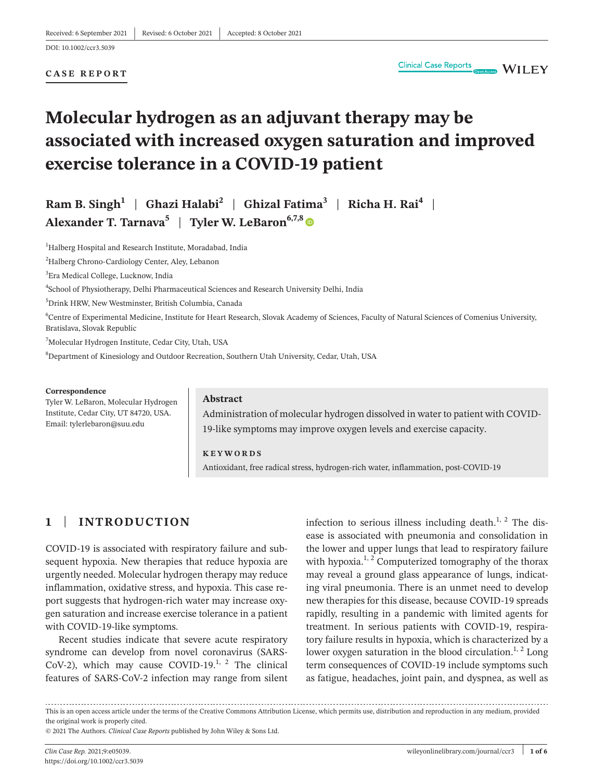#### **CASE REPORT**

# **Molecular hydrogen as an adjuvant therapy may be associated with increased oxygen saturation and improved exercise tolerance in a COVID-19 patient**

## **Ram B. Singh<sup>1</sup> | Ghazi Halabi<sup>2</sup> | Ghizal Fatima<sup>3</sup> | Richa H. Rai<sup>4</sup> | Alexander T. Tarnava<sup>5</sup>** | **Tyler W. LeBaron6,7,[8](https://orcid.org/0000-0001-9164-6728)**

<sup>1</sup>Halberg Hospital and Research Institute, Moradabad, India

<sup>2</sup>Halberg Chrono-Cardiology Center, Aley, Lebanon

3 Era Medical College, Lucknow, India

4 School of Physiotherapy, Delhi Pharmaceutical Sciences and Research University Delhi, India

5 Drink HRW, New Westminster, British Columbia, Canada

6 Centre of Experimental Medicine, Institute for Heart Research, Slovak Academy of Sciences, Faculty of Natural Sciences of Comenius University, Bratislava, Slovak Republic

7 Molecular Hydrogen Institute, Cedar City, Utah, USA

8 Department of Kinesiology and Outdoor Recreation, Southern Utah University, Cedar, Utah, USA

#### **Correspondence**

Tyler W. LeBaron, Molecular Hydrogen Institute, Cedar City, UT 84720, USA. Email: [tylerlebaron@suu.edu](mailto:tylerlebaron@suu.edu)

#### **Abstract**

Administration of molecular hydrogen dissolved in water to patient with COVID-19-like symptoms may improve oxygen levels and exercise capacity.

**KEYWORDS** Antioxidant, free radical stress, hydrogen-rich water, inflammation, post-COVID-19

### **1** | **INTRODUCTION**

COVID-19 is associated with respiratory failure and subsequent hypoxia. New therapies that reduce hypoxia are urgently needed. Molecular hydrogen therapy may reduce inflammation, oxidative stress, and hypoxia. This case report suggests that hydrogen-rich water may increase oxygen saturation and increase exercise tolerance in a patient with COVID-19-like symptoms.

Recent studies indicate that severe acute respiratory syndrome can develop from novel coronavirus (SARS-CoV-2), which may cause COVID-19. $^{1, 2}$  The clinical features of SARS-CoV-2 infection may range from silent

infection to serious illness including death. $1, 2$  The disease is associated with pneumonia and consolidation in the lower and upper lungs that lead to respiratory failure with hypoxia.<sup>1, 2</sup> Computerized tomography of the thorax may reveal a ground glass appearance of lungs, indicating viral pneumonia. There is an unmet need to develop new therapies for this disease, because COVID-19 spreads rapidly, resulting in a pandemic with limited agents for treatment. In serious patients with COVID-19, respiratory failure results in hypoxia, which is characterized by a lower oxygen saturation in the blood circulation.<sup>1, 2</sup> Long term consequences of COVID-19 include symptoms such as fatigue, headaches, joint pain, and dyspnea, as well as

This is an open access article under the terms of the Creative Commons [Attribution](http://creativecommons.org/licenses/by/4.0/) License, which permits use, distribution and reproduction in any medium, provided the original work is properly cited.

© 2021 The Authors. *Clinical Case Reports* published by John Wiley & Sons Ltd.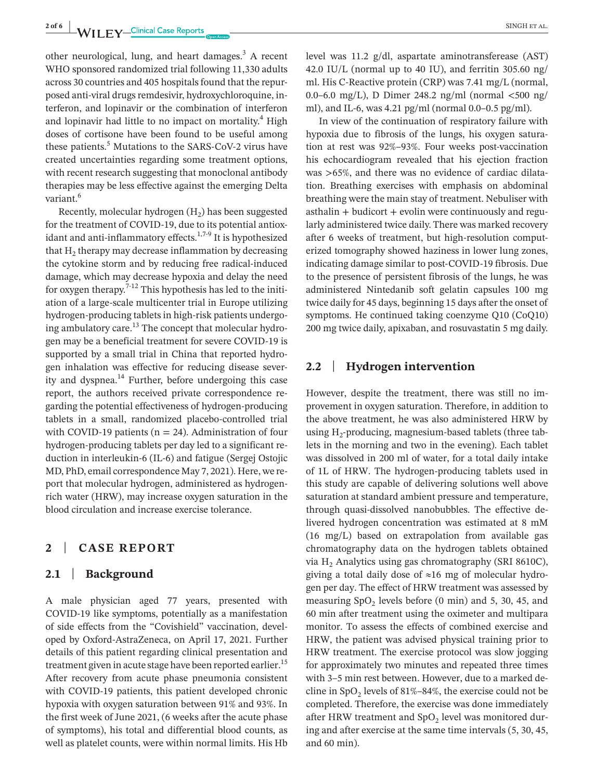**2 of 6 WII FV**—Clinical Case Reports **ACCLE 2 EXAMPLE 2 INGHET AL.** 

other neurological, lung, and heart damages. $3$  A recent WHO sponsored randomized trial following 11,330 adults across 30 countries and 405 hospitals found that the repurposed anti-viral drugs remdesivir, hydroxychloroquine, interferon, and lopinavir or the combination of interferon and lopinavir had little to no impact on mortality.<sup>4</sup> High doses of cortisone have been found to be useful among these patients.<sup>5</sup> Mutations to the SARS-CoV-2 virus have created uncertainties regarding some treatment options, with recent research suggesting that monoclonal antibody therapies may be less effective against the emerging Delta variant.<sup>6</sup>

Recently, molecular hydrogen  $(H<sub>2</sub>)$  has been suggested for the treatment of COVID-19, due to its potential antioxidant and anti-inflammatory effects.<sup>1,7-9</sup> It is hypothesized that  $H<sub>2</sub>$  therapy may decrease inflammation by decreasing the cytokine storm and by reducing free radical-induced damage, which may decrease hypoxia and delay the need for oxygen therapy.<sup> $7-12$ </sup> This hypothesis has led to the initiation of a large-scale multicenter trial in Europe utilizing hydrogen-producing tablets in high-risk patients undergoing ambulatory care.<sup>13</sup> The concept that molecular hydrogen may be a beneficial treatment for severe COVID-19 is supported by a small trial in China that reported hydrogen inhalation was effective for reducing disease severity and dyspnea. $^{14}$  Further, before undergoing this case report, the authors received private correspondence regarding the potential effectiveness of hydrogen-producing tablets in a small, randomized placebo-controlled trial with COVID-19 patients ( $n = 24$ ). Administration of four hydrogen-producing tablets per day led to a significant reduction in interleukin-6 (IL-6) and fatigue (Sergej Ostojic MD, PhD, email correspondence May 7, 2021). Here, we report that molecular hydrogen, administered as hydrogenrich water (HRW), may increase oxygen saturation in the blood circulation and increase exercise tolerance.

### **2** | **CASE REPORT**

### **2.1** | **Background**

A male physician aged 77 years, presented with COVID-19 like symptoms, potentially as a manifestation of side effects from the "Covishield" vaccination, developed by Oxford-AstraZeneca, on April 17, 2021. Further details of this patient regarding clinical presentation and treatment given in acute stage have been reported earlier.<sup>15</sup> After recovery from acute phase pneumonia consistent with COVID-19 patients, this patient developed chronic hypoxia with oxygen saturation between 91% and 93%. In the first week of June 2021, (6 weeks after the acute phase of symptoms), his total and differential blood counts, as well as platelet counts, were within normal limits. His Hb

level was 11.2 g/dl, aspartate aminotransferease (AST) 42.0 IU/L (normal up to 40 IU), and ferritin 305.60 ng/ ml. His C-Reactive protein (CRP) was 7.41 mg/L (normal, 0.0–6.0 mg/L), D Dimer 248.2 ng/ml (normal <500 ng/ ml), and IL-6, was 4.21 pg/ml (normal 0.0–0.5 pg/ml).

In view of the continuation of respiratory failure with hypoxia due to fibrosis of the lungs, his oxygen saturation at rest was 92%–93%. Four weeks post-vaccination his echocardiogram revealed that his ejection fraction was >65%, and there was no evidence of cardiac dilatation. Breathing exercises with emphasis on abdominal breathing were the main stay of treatment. Nebuliser with  $asthalin + \text{budicort} + \text{evolin were continuously and regu$ larly administered twice daily. There was marked recovery after 6 weeks of treatment, but high-resolution computerized tomography showed haziness in lower lung zones, indicating damage similar to post-COVID-19 fibrosis. Due to the presence of persistent fibrosis of the lungs, he was administered Nintedanib soft gelatin capsules 100 mg twice daily for 45 days, beginning 15 days after the onset of symptoms. He continued taking coenzyme Q10 (CoQ10) 200 mg twice daily, apixaban, and rosuvastatin 5 mg daily.

### **2.2** | **Hydrogen intervention**

However, despite the treatment, there was still no improvement in oxygen saturation. Therefore, in addition to the above treatment, he was also administered HRW by using  $H_2$ -producing, magnesium-based tablets (three tablets in the morning and two in the evening). Each tablet was dissolved in 200 ml of water, for a total daily intake of 1L of HRW. The hydrogen-producing tablets used in this study are capable of delivering solutions well above saturation at standard ambient pressure and temperature, through quasi-dissolved nanobubbles. The effective delivered hydrogen concentration was estimated at 8 mM (16 mg/L) based on extrapolation from available gas chromatography data on the hydrogen tablets obtained via  $H<sub>2</sub>$  Analytics using gas chromatography (SRI 8610C), giving a total daily dose of ≈16 mg of molecular hydrogen per day. The effect of HRW treatment was assessed by measuring  $SpO<sub>2</sub>$  levels before (0 min) and 5, 30, 45, and 60 min after treatment using the oximeter and multipara monitor. To assess the effects of combined exercise and HRW, the patient was advised physical training prior to HRW treatment. The exercise protocol was slow jogging for approximately two minutes and repeated three times with 3–5 min rest between. However, due to a marked decline in SpO<sub>2</sub> levels of  $81\% - 84\%$ , the exercise could not be completed. Therefore, the exercise was done immediately after HRW treatment and  $SpO<sub>2</sub>$  level was monitored during and after exercise at the same time intervals (5, 30, 45, and 60 min).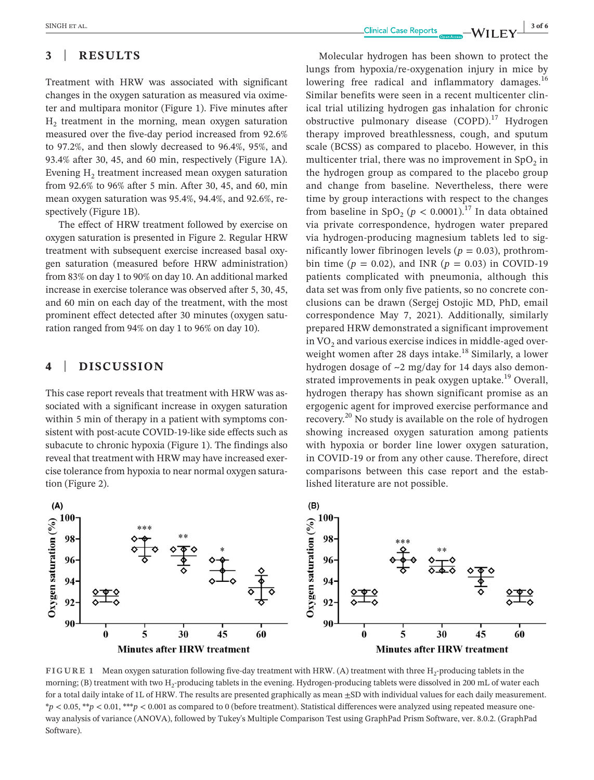Treatment with HRW was associated with significant changes in the oxygen saturation as measured via oximeter and multipara monitor (Figure 1). Five minutes after H2 treatment in the morning, mean oxygen saturation measured over the five-day period increased from 92.6% to 97.2%, and then slowly decreased to 96.4%, 95%, and 93.4% after 30, 45, and 60 min, respectively (Figure 1A). Evening  $H<sub>2</sub>$  treatment increased mean oxygen saturation from 92.6% to 96% after 5 min. After 30, 45, and 60, min mean oxygen saturation was 95.4%, 94.4%, and 92.6%, respectively (Figure 1B).

The effect of HRW treatment followed by exercise on oxygen saturation is presented in Figure 2. Regular HRW treatment with subsequent exercise increased basal oxygen saturation (measured before HRW administration) from 83% on day 1 to 90% on day 10. An additional marked increase in exercise tolerance was observed after 5, 30, 45, and 60 min on each day of the treatment, with the most prominent effect detected after 30 minutes (oxygen saturation ranged from 94% on day 1 to 96% on day 10).

### **4** | **DISCUSSION**

This case report reveals that treatment with HRW was associated with a significant increase in oxygen saturation within 5 min of therapy in a patient with symptoms consistent with post-acute COVID-19-like side effects such as subacute to chronic hypoxia (Figure 1). The findings also reveal that treatment with HRW may have increased exercise tolerance from hypoxia to near normal oxygen saturation (Figure 2).

Molecular hydrogen has been shown to protect the lungs from hypoxia/re-oxygenation injury in mice by lowering free radical and inflammatory damages. $16$ Similar benefits were seen in a recent multicenter clinical trial utilizing hydrogen gas inhalation for chronic obstructive pulmonary disease  $(COPD)$ <sup>17</sup> Hydrogen therapy improved breathlessness, cough, and sputum scale (BCSS) as compared to placebo. However, in this multicenter trial, there was no improvement in  $SpO<sub>2</sub>$  in the hydrogen group as compared to the placebo group and change from baseline. Nevertheless, there were time by group interactions with respect to the changes from baseline in SpO<sub>2</sub> ( $p < 0.0001$ ).<sup>17</sup> In data obtained via private correspondence, hydrogen water prepared via hydrogen-producing magnesium tablets led to significantly lower fibrinogen levels ( $p = 0.03$ ), prothrombin time ( $p = 0.02$ ), and INR ( $p = 0.03$ ) in COVID-19 patients complicated with pneumonia, although this data set was from only five patients, so no concrete conclusions can be drawn (Sergej Ostojic MD, PhD, email correspondence May 7, 2021). Additionally, similarly prepared HRW demonstrated a significant improvement in  $VO<sub>2</sub>$  and various exercise indices in middle-aged overweight women after 28 days intake.<sup>18</sup> Similarly, a lower hydrogen dosage of ~2 mg/day for 14 days also demonstrated improvements in peak oxygen uptake.<sup>19</sup> Overall, hydrogen therapy has shown significant promise as an ergogenic agent for improved exercise performance and recovery.20 No study is available on the role of hydrogen showing increased oxygen saturation among patients with hypoxia or border line lower oxygen saturation, in COVID-19 or from any other cause. Therefore, direct comparisons between this case report and the established literature are not possible.



**FIGURE 1** Mean oxygen saturation following five-day treatment with HRW. (A) treatment with three H<sub>2</sub>-producing tablets in the morning; (B) treatment with two  $H_2$ -producing tablets in the evening. Hydrogen-producing tablets were dissolved in 200 mL of water each for a total daily intake of 1L of HRW. The results are presented graphically as mean  $\pm$ SD with individual values for each daily measurement. \**p* < 0.05, \*\**p* < 0.01, \*\*\**p* < 0.001 as compared to 0 (before treatment). Statistical differences were analyzed using repeated measure oneway analysis of variance (ANOVA), followed by Tukey's Multiple Comparison Test using GraphPad Prism Software, ver. 8.0.2. (GraphPad Software).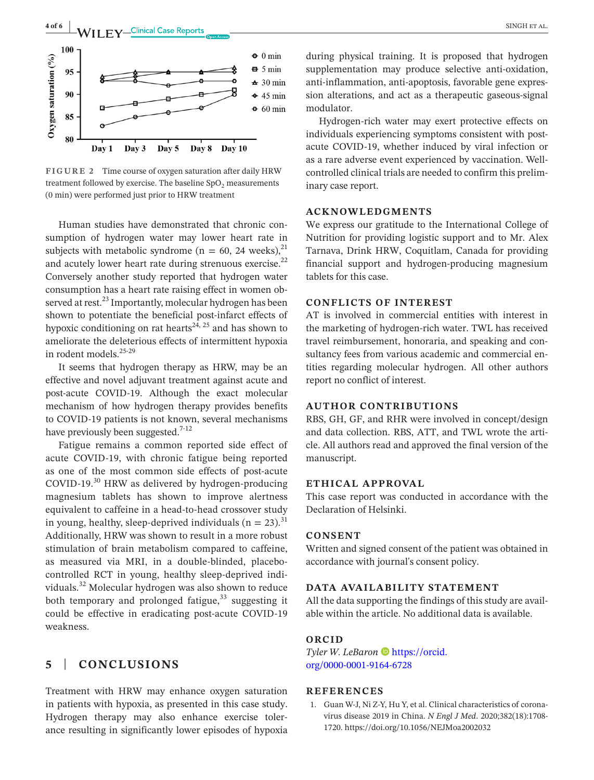

Day 3 Day 1 Day 5 Day 8 Day 10

**FIGURE 2** Time course of oxygen saturation after daily HRW treatment followed by exercise. The baseline  $SpO<sub>2</sub>$  measurements (0 min) were performed just prior to HRW treatment

Human studies have demonstrated that chronic consumption of hydrogen water may lower heart rate in subjects with metabolic syndrome ( $n = 60$ , 24 weeks),<sup>21</sup> and acutely lower heart rate during strenuous exercise.<sup>22</sup> Conversely another study reported that hydrogen water consumption has a heart rate raising effect in women observed at rest.<sup>23</sup> Importantly, molecular hydrogen has been shown to potentiate the beneficial post-infarct effects of hypoxic conditioning on rat hearts<sup>24, 25</sup> and has shown to ameliorate the deleterious effects of intermittent hypoxia in rodent models.<sup>25-29</sup>

It seems that hydrogen therapy as HRW, may be an effective and novel adjuvant treatment against acute and post-acute COVID-19. Although the exact molecular mechanism of how hydrogen therapy provides benefits to COVID-19 patients is not known, several mechanisms have previously been suggested.<sup>7-12</sup>

Fatigue remains a common reported side effect of acute COVID-19, with chronic fatigue being reported as one of the most common side effects of post-acute COVID-19.<sup>30</sup> HRW as delivered by hydrogen-producing magnesium tablets has shown to improve alertness equivalent to caffeine in a head-to-head crossover study in young, healthy, sleep-deprived individuals ( $n = 23$ ).<sup>31</sup> Additionally, HRW was shown to result in a more robust stimulation of brain metabolism compared to caffeine, as measured via MRI, in a double-blinded, placebocontrolled RCT in young, healthy sleep-deprived individuals.32 Molecular hydrogen was also shown to reduce both temporary and prolonged fatigue,  $33$  suggesting it could be effective in eradicating post-acute COVID-19 weakness.

### **5** | **CONCLUSIONS**

Treatment with HRW may enhance oxygen saturation in patients with hypoxia, as presented in this case study. Hydrogen therapy may also enhance exercise tolerance resulting in significantly lower episodes of hypoxia

during physical training. It is proposed that hydrogen supplementation may produce selective anti-oxidation, anti-inflammation, anti-apoptosis, favorable gene expression alterations, and act as a therapeutic gaseous-signal modulator.

Hydrogen-rich water may exert protective effects on individuals experiencing symptoms consistent with postacute COVID-19, whether induced by viral infection or as a rare adverse event experienced by vaccination. Wellcontrolled clinical trials are needed to confirm this preliminary case report.

#### **ACKNOWLEDGMENTS**

We express our gratitude to the International College of Nutrition for providing logistic support and to Mr. Alex Tarnava, Drink HRW, Coquitlam, Canada for providing financial support and hydrogen-producing magnesium tablets for this case.

### **CONFLICTS OF INTEREST**

AT is involved in commercial entities with interest in the marketing of hydrogen-rich water. TWL has received travel reimbursement, honoraria, and speaking and consultancy fees from various academic and commercial entities regarding molecular hydrogen. All other authors report no conflict of interest.

#### **AUTHOR CONTRIBUTIONS**

RBS, GH, GF, and RHR were involved in concept/design and data collection. RBS, ATT, and TWL wrote the article. All authors read and approved the final version of the manuscript.

#### **ETHICAL APPROVAL**

This case report was conducted in accordance with the Declaration of Helsinki.

#### **CONSENT**

Written and signed consent of the patient was obtained in accordance with journal's consent policy.

### **DATA AVAILABILITY STATEMENT**

All the data supporting the findings of this study are available within the article. No additional data is available.

### **ORCID**

*Tyler W. LeBaron* [https://orcid.](https://orcid.org/0000-0001-9164-6728) [org/0000-0001-9164-6728](https://orcid.org/0000-0001-9164-6728)

#### **REFERENCES**

1. Guan W-J, Ni Z-Y, Hu Y, et al. Clinical characteristics of coronavirus disease 2019 in China. *N Engl J Med*. 2020;382(18):1708- 1720. <https://doi.org/10.1056/NEJMoa2002032>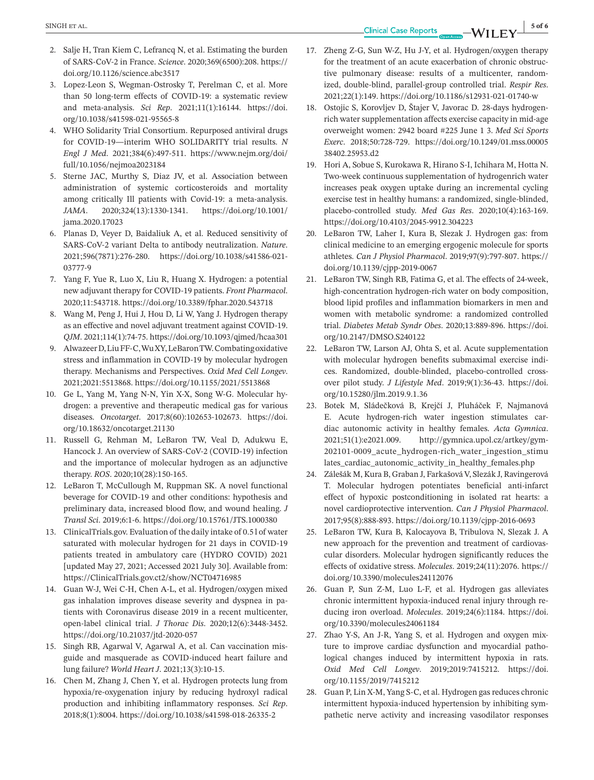**EXINGHET AL. SINGHET AL. 5 of 6**<br> **EXINGHET AL. 5 of 6** 

- 2. Salje H, Tran Kiem C, Lefrancq N, et al. Estimating the burden of SARS-CoV-2 in France. *Science*. 2020;369(6500):208. [https://](https://doi.org/10.1126/science.abc3517) [doi.org/10.1126/science.abc3517](https://doi.org/10.1126/science.abc3517)
- 3. Lopez-Leon S, Wegman-Ostrosky T, Perelman C, et al. More than 50 long-term effects of COVID-19: a systematic review and meta-analysis. *Sci Rep*. 2021;11(1):16144. [https://doi.](https://doi.org/10.1038/s41598-021-95565-8) [org/10.1038/s41598-021-95565-8](https://doi.org/10.1038/s41598-021-95565-8)
- 4. WHO Solidarity Trial Consortium. Repurposed antiviral drugs for COVID-19—interim WHO SOLIDARITY trial results. *N Engl J Med*. 2021;384(6):497-511. [https://www.nejm.org/doi/](https://www.nejm.org/doi/full/10.1056/nejmoa2023184) [full/10.1056/nejmoa2023184](https://www.nejm.org/doi/full/10.1056/nejmoa2023184)
- 5. Sterne JAC, Murthy S, Diaz JV, et al. Association between administration of systemic corticosteroids and mortality among critically Ill patients with Covid-19: a meta-analysis. *JAMA*. 2020;324(13):1330-1341. [https://doi.org/10.1001/](https://doi.org/10.1001/jama.2020.17023) [jama.2020.17023](https://doi.org/10.1001/jama.2020.17023)
- 6. Planas D, Veyer D, Baidaliuk A, et al. Reduced sensitivity of SARS-CoV-2 variant Delta to antibody neutralization. *Nature*. 2021;596(7871):276-280. [https://doi.org/10.1038/s41586-021-](https://doi.org/10.1038/s41586-021-03777-9) [03777-9](https://doi.org/10.1038/s41586-021-03777-9)
- 7. Yang F, Yue R, Luo X, Liu R, Huang X. Hydrogen: a potential new adjuvant therapy for COVID-19 patients. *Front Pharmacol*. 2020;11:543718. <https://doi.org/10.3389/fphar.2020.543718>
- 8. Wang M, Peng J, Hui J, Hou D, Li W, Yang J. Hydrogen therapy as an effective and novel adjuvant treatment against COVID-19. *QJM*. 2021;114(1):74-75. <https://doi.org/10.1093/qjmed/hcaa301>
- 9. AlwazeerD,LiuFF-C,WuXY,LeBaronTW.Combatingoxidative stress and inflammation in COVID-19 by molecular hydrogen therapy. Mechanisms and Perspectives. *Oxid Med Cell Longev*. 2021;2021:5513868. <https://doi.org/10.1155/2021/5513868>
- 10. Ge L, Yang M, Yang N-N, Yin X-X, Song W-G. Molecular hydrogen: a preventive and therapeutic medical gas for various diseases. *Oncotarget*. 2017;8(60):102653-102673. [https://doi.](https://doi.org/10.18632/oncotarget.21130) [org/10.18632/oncotarget.21130](https://doi.org/10.18632/oncotarget.21130)
- 11. Russell G, Rehman M, LeBaron TW, Veal D, Adukwu E, Hancock J. An overview of SARS-CoV-2 (COVID-19) infection and the importance of molecular hydrogen as an adjunctive therapy. *ROS*. 2020;10(28):150-165.
- 12. LeBaron T, McCullough M, Ruppman SK. A novel functional beverage for COVID-19 and other conditions: hypothesis and preliminary data, increased blood flow, and wound healing. *J Transl Sci*. 2019;6:1-6. <https://doi.org/10.15761/JTS.1000380>
- 13. ClinicalTrials.gov. Evaluation of the daily intake of 0.5 l of water saturated with molecular hydrogen for 21 days in COVID-19 patients treated in ambulatory care (HYDRO COVID) 2021 [updated May 27, 2021; Accessed 2021 July 30]. Available from: <https://ClinicalTrials.gov.ct2/show/NCT04716985>
- 14. Guan W-J, Wei C-H, Chen A-L, et al. Hydrogen/oxygen mixed gas inhalation improves disease severity and dyspnea in patients with Coronavirus disease 2019 in a recent multicenter, open-label clinical trial. *J Thorac Dis*. 2020;12(6):3448-3452. <https://doi.org/10.21037/jtd-2020-057>
- 15. Singh RB, Agarwal V, Agarwal A, et al. Can vaccination misguide and masquerade as COVID-induced heart failure and lung failure? *World Heart J*. 2021;13(3):10-15.
- 16. Chen M, Zhang J, Chen Y, et al. Hydrogen protects lung from hypoxia/re-oxygenation injury by reducing hydroxyl radical production and inhibiting inflammatory responses. *Sci Rep*. 2018;8(1):8004. <https://doi.org/10.1038/s41598-018-26335-2>
- 17. Zheng Z-G, Sun W-Z, Hu J-Y, et al. Hydrogen/oxygen therapy for the treatment of an acute exacerbation of chronic obstructive pulmonary disease: results of a multicenter, randomized, double-blind, parallel-group controlled trial. *Respir Res*. 2021;22(1):149. <https://doi.org/10.1186/s12931-021-01740-w>
- 18. Ostojic S, Korovljev D, Štajer V, Javorac D. 28-days hydrogenrich water supplementation affects exercise capacity in mid-age overweight women: 2942 board #225 June 1 3. *Med Sci Sports Exerc*. 2018;50:728-729. [https://doi.org/10.1249/01.mss.00005](https://doi.org/10.1249/01.mss.0000538402.25953.d2) [38402.25953.d2](https://doi.org/10.1249/01.mss.0000538402.25953.d2)
- 19. Hori A, Sobue S, Kurokawa R, Hirano S-I, Ichihara M, Hotta N. Two-week continuous supplementation of hydrogenrich water increases peak oxygen uptake during an incremental cycling exercise test in healthy humans: a randomized, single-blinded, placebo-controlled study. *Med Gas Res*. 2020;10(4):163-169. <https://doi.org/10.4103/2045-9912.304223>
- 20. LeBaron TW, Laher I, Kura B, Slezak J. Hydrogen gas: from clinical medicine to an emerging ergogenic molecule for sports athletes. *Can J Physiol Pharmacol*. 2019;97(9):797-807. [https://](https://doi.org/10.1139/cjpp-2019-0067) [doi.org/10.1139/cjpp-2019-0067](https://doi.org/10.1139/cjpp-2019-0067)
- 21. LeBaron TW, Singh RB, Fatima G, et al. The effects of 24-week, high-concentration hydrogen-rich water on body composition, blood lipid profiles and inflammation biomarkers in men and women with metabolic syndrome: a randomized controlled trial. *Diabetes Metab Syndr Obes*. 2020;13:889-896. [https://doi.](https://doi.org/10.2147/DMSO.S240122) [org/10.2147/DMSO.S240122](https://doi.org/10.2147/DMSO.S240122)
- 22. LeBaron TW, Larson AJ, Ohta S, et al. Acute supplementation with molecular hydrogen benefits submaximal exercise indices. Randomized, double-blinded, placebo-controlled crossover pilot study. *J Lifestyle Med*. 2019;9(1):36-43. [https://doi.](https://doi.org/10.15280/jlm.2019.9.1.36) [org/10.15280/jlm.2019.9.1.36](https://doi.org/10.15280/jlm.2019.9.1.36)
- 23. Botek M, Sládečková B, Krejčí J, Pluháček F, Najmanová E. Acute hydrogen-rich water ingestion stimulates cardiac autonomic activity in healthy females. *Acta Gymnica*. 2021;51(1):e2021.009. [http://gymnica.upol.cz/artkey/gym-](https://doi.org/10.5507/ag.2021.009)[202101-0009\\_acute\\_hydrogen-rich\\_water\\_ingestion\\_stimu](https://doi.org/10.5507/ag.2021.009) [lates\\_cardiac\\_autonomic\\_activity\\_in\\_healthy\\_females.php](https://doi.org/10.5507/ag.2021.009)
- 24. Zálešák M, Kura B, Graban J, FarkašováV, Slezák J, Ravingerová T. Molecular hydrogen potentiates beneficial anti-infarct effect of hypoxic postconditioning in isolated rat hearts: a novel cardioprotective intervention. *Can J Physiol Pharmacol*. 2017;95(8):888-893. <https://doi.org/10.1139/cjpp-2016-0693>
- 25. LeBaron TW, Kura B, Kalocayova B, Tribulova N, Slezak J. A new approach for the prevention and treatment of cardiovascular disorders. Molecular hydrogen significantly reduces the effects of oxidative stress. *Molecules*. 2019;24(11):2076. [https://](https://doi.org/10.3390/molecules24112076) [doi.org/10.3390/molecules24112076](https://doi.org/10.3390/molecules24112076)
- 26. Guan P, Sun Z-M, Luo L-F, et al. Hydrogen gas alleviates chronic intermittent hypoxia-induced renal injury through reducing iron overload. *Molecules*. 2019;24(6):1184. [https://doi.](https://doi.org/10.3390/molecules24061184) [org/10.3390/molecules24061184](https://doi.org/10.3390/molecules24061184)
- 27. Zhao Y-S, An J-R, Yang S, et al. Hydrogen and oxygen mixture to improve cardiac dysfunction and myocardial pathological changes induced by intermittent hypoxia in rats. *Oxid Med Cell Longev*. 2019;2019:7415212. [https://doi.](https://doi.org/10.1155/2019/7415212) [org/10.1155/2019/7415212](https://doi.org/10.1155/2019/7415212)
- 28. Guan P, Lin X-M, Yang S-C, et al. Hydrogen gas reduces chronic intermittent hypoxia-induced hypertension by inhibiting sympathetic nerve activity and increasing vasodilator responses